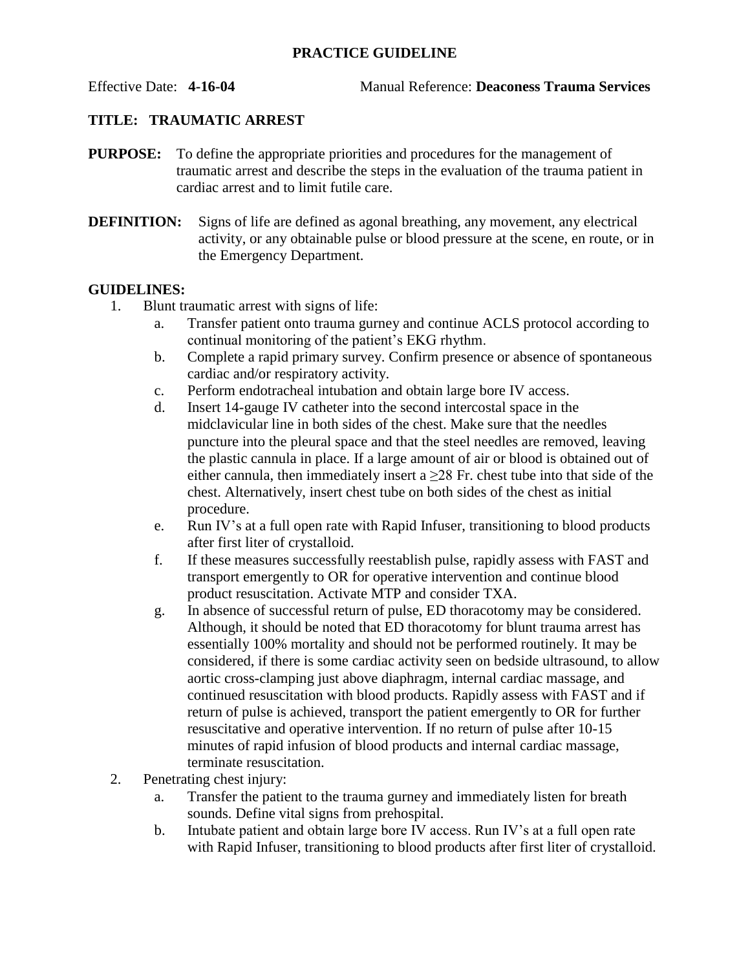## **PRACTICE GUIDELINE**

Effective Date: **4-16-04** Manual Reference: **Deaconess Trauma Services**

## **TITLE: TRAUMATIC ARREST**

- **PURPOSE:** To define the appropriate priorities and procedures for the management of traumatic arrest and describe the steps in the evaluation of the trauma patient in cardiac arrest and to limit futile care.
- **DEFINITION:** Signs of life are defined as agonal breathing, any movement, any electrical activity, or any obtainable pulse or blood pressure at the scene, en route, or in the Emergency Department.

## **GUIDELINES:**

- 1. Blunt traumatic arrest with signs of life:
	- a. Transfer patient onto trauma gurney and continue ACLS protocol according to continual monitoring of the patient's EKG rhythm.
	- b. Complete a rapid primary survey. Confirm presence or absence of spontaneous cardiac and/or respiratory activity.
	- c. Perform endotracheal intubation and obtain large bore IV access.
	- d. Insert 14-gauge IV catheter into the second intercostal space in the midclavicular line in both sides of the chest. Make sure that the needles puncture into the pleural space and that the steel needles are removed, leaving the plastic cannula in place. If a large amount of air or blood is obtained out of either cannula, then immediately insert a  $\geq$ 28 Fr. chest tube into that side of the chest. Alternatively, insert chest tube on both sides of the chest as initial procedure.
	- e. Run IV's at a full open rate with Rapid Infuser, transitioning to blood products after first liter of crystalloid.
	- f. If these measures successfully reestablish pulse, rapidly assess with FAST and transport emergently to OR for operative intervention and continue blood product resuscitation. Activate MTP and consider TXA.
	- g. In absence of successful return of pulse, ED thoracotomy may be considered. Although, it should be noted that ED thoracotomy for blunt trauma arrest has essentially 100% mortality and should not be performed routinely. It may be considered, if there is some cardiac activity seen on bedside ultrasound, to allow aortic cross-clamping just above diaphragm, internal cardiac massage, and continued resuscitation with blood products. Rapidly assess with FAST and if return of pulse is achieved, transport the patient emergently to OR for further resuscitative and operative intervention. If no return of pulse after 10-15 minutes of rapid infusion of blood products and internal cardiac massage, terminate resuscitation.
- 2. Penetrating chest injury:
	- a. Transfer the patient to the trauma gurney and immediately listen for breath sounds. Define vital signs from prehospital.
	- b. Intubate patient and obtain large bore IV access. Run IV's at a full open rate with Rapid Infuser, transitioning to blood products after first liter of crystalloid.